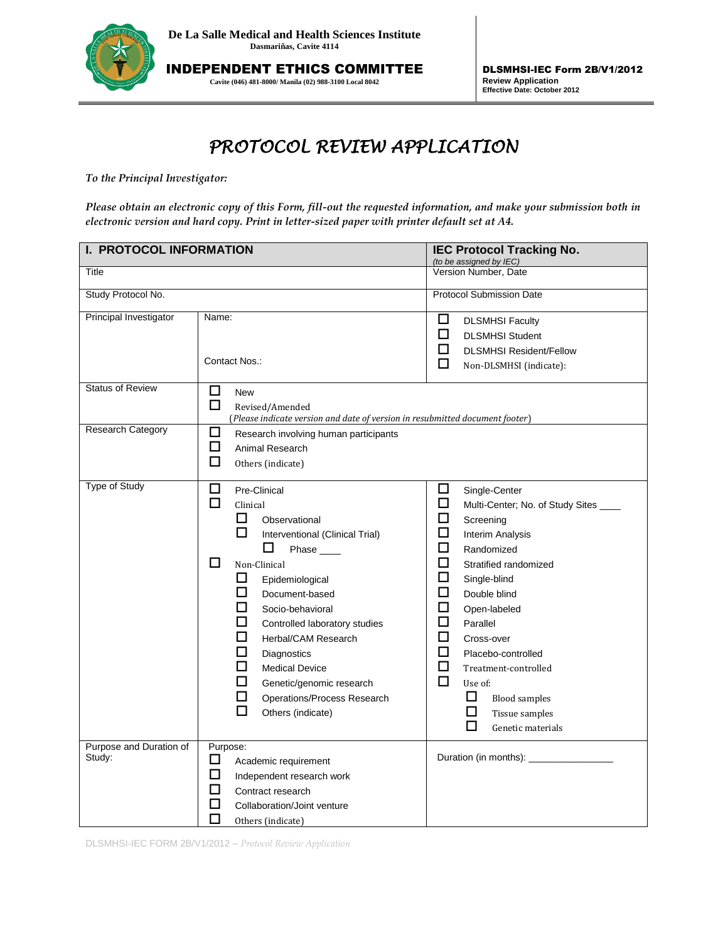

INDEPENDENT ETHICS COMMITTEE **Cavite (046) 481-8000/ Manila (02) 988-3100 Local 8042**

DLSMHSI-IEC Form 2B/V1/2012 **Review Application Effective Date: October 2012**

## *PROTOCOL REVIEW APPLICATION*

*To the Principal Investigator:* 

*Please obtain an electronic copy of this Form, fill-out the requested information, and make your submission both in electronic version and hard copy. Print in letter-sized paper with printer default set at A4.*

| I. PROTOCOL INFORMATION           |                                                                                                                                                                                                                                                                                                                                                                                                                                | <b>IEC Protocol Tracking No.</b><br>(to be assigned by IEC)                                                                                                                                                                                                                                                                                                                                                               |  |
|-----------------------------------|--------------------------------------------------------------------------------------------------------------------------------------------------------------------------------------------------------------------------------------------------------------------------------------------------------------------------------------------------------------------------------------------------------------------------------|---------------------------------------------------------------------------------------------------------------------------------------------------------------------------------------------------------------------------------------------------------------------------------------------------------------------------------------------------------------------------------------------------------------------------|--|
| Title                             |                                                                                                                                                                                                                                                                                                                                                                                                                                | Version Number, Date                                                                                                                                                                                                                                                                                                                                                                                                      |  |
| Study Protocol No.                |                                                                                                                                                                                                                                                                                                                                                                                                                                | <b>Protocol Submission Date</b>                                                                                                                                                                                                                                                                                                                                                                                           |  |
| Principal Investigator            | Name:<br>Contact Nos.:                                                                                                                                                                                                                                                                                                                                                                                                         | □<br><b>DLSMHSI Faculty</b><br>□<br><b>DLSMHSI Student</b><br>□<br><b>DLSMHSI Resident/Fellow</b><br>□<br>Non-DLSMHSI (indicate):                                                                                                                                                                                                                                                                                         |  |
| <b>Status of Review</b>           | □<br><b>New</b><br>口<br>Revised/Amended<br>(Please indicate version and date of version in resubmitted document footer)                                                                                                                                                                                                                                                                                                        |                                                                                                                                                                                                                                                                                                                                                                                                                           |  |
| <b>Research Category</b>          | □<br>Research involving human participants<br>□<br>Animal Research<br>口<br>Others (indicate)                                                                                                                                                                                                                                                                                                                                   |                                                                                                                                                                                                                                                                                                                                                                                                                           |  |
| <b>Type of Study</b>              | □<br>Pre-Clinical<br>П<br>Clinical<br>П<br>Observational<br>ப<br>Interventional (Clinical Trial)<br>ப<br>Phase ____<br>□<br>Non-Clinical<br>□<br>Epidemiological<br>□<br>Document-based<br>□<br>Socio-behavioral<br>□<br>Controlled laboratory studies<br>□<br>Herbal/CAM Research<br>ப<br>Diagnostics<br>□<br><b>Medical Device</b><br>ப<br>Genetic/genomic research<br>□<br>Operations/Process Research<br>Others (indicate) | ப<br>Single-Center<br>□<br>Multi-Center; No. of Study Sites ___<br>□<br>Screening<br>□<br>Interim Analysis<br>□<br>Randomized<br>□<br>Stratified randomized<br>□<br>Single-blind<br>□<br>Double blind<br>□<br>Open-labeled<br>□<br>Parallel<br>□<br>Cross-over<br>□<br>Placebo-controlled<br>□<br>Treatment-controlled<br>$\Box$<br>Use of:<br>□<br><b>Blood samples</b><br>□<br>Tissue samples<br>□<br>Genetic materials |  |
| Purpose and Duration of<br>Study: | Purpose:<br>□<br>Academic requirement<br>□<br>Independent research work<br>□<br>Contract research<br>$\Box$<br>Collaboration/Joint venture<br>П<br>Others (indicate)                                                                                                                                                                                                                                                           | Duration (in months): ___________                                                                                                                                                                                                                                                                                                                                                                                         |  |

DLSMHSI-IEC FORM 2B/V1/2012 – *Protocol Review Application*